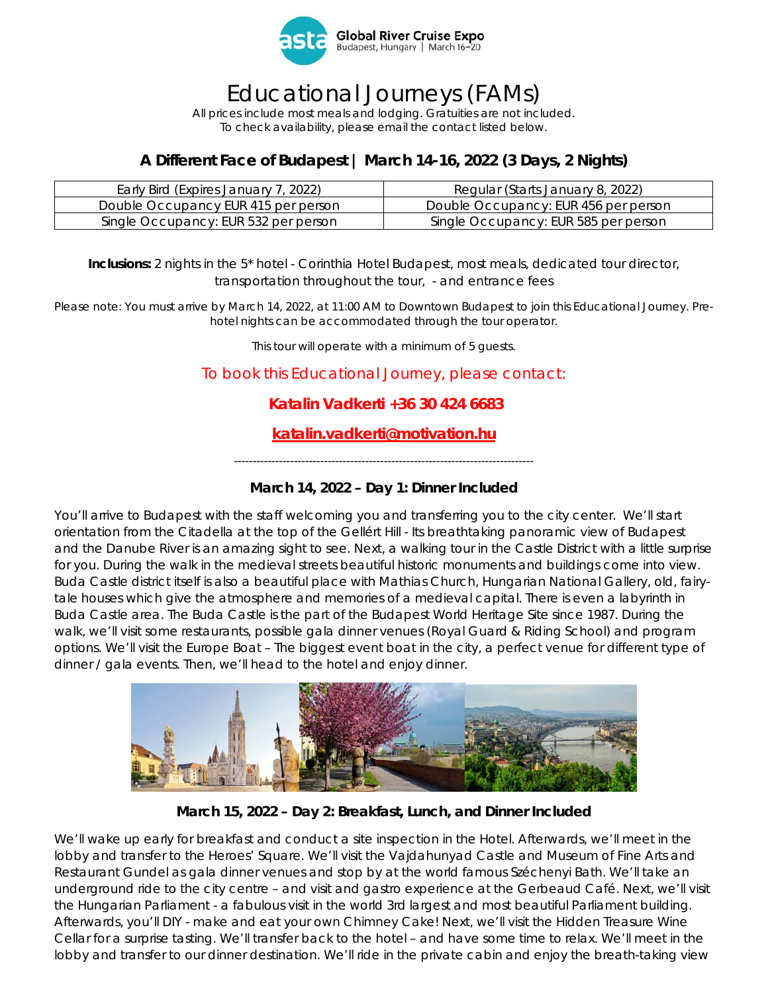

# Educational Journeys (FAMs)

*All prices include most meals and lodging. Gratuities are not included. To check availability, please email the contact listed below.* 

### **A Different Face of Budapest | March 14-16, 2022 (3 Days, 2 Nights)**

| Early Bird (Expires January 7, 2022) | Regular (Starts January 8, 2022)     |
|--------------------------------------|--------------------------------------|
| Double Occupancy EUR 415 per person  | Double Occupancy: EUR 456 per person |
| Single Occupancy: EUR 532 per person | Single Occupancy: EUR 585 per person |

#### **Inclusions:** 2 nights in the 5\* hotel - Corinthia Hotel Budapest, most meals, dedicated tour director, transportation throughout the tour, - and entrance fees

*Please note: You must arrive by March 14, 2022, at 11:00 AM to Downtown Budapest to join this Educational Journey. Prehotel nights can be accommodated through the tour operator.* 

*This tour will operate with a minimum of 5 guests.* 

To book this Educational Journey, please contact:

#### **Katalin Vadkerti +36 30 424 6683**

### **katalin.vadkerti@motivation.hu**

*--------------------------------------------------------------------------------* 

#### **March 14, 2022 – Day 1: Dinner Included**

You'll arrive to Budapest with the staff welcoming you and transferring you to the city center. We'll start orientation from the Citadella at the top of the Gellért Hill - Its breathtaking panoramic view of Budapest and the Danube River is an amazing sight to see. Next, a walking tour in the Castle District with a little surprise for you. During the walk in the medieval streets beautiful historic monuments and buildings come into view. Buda Castle district itself is also a beautiful place with Mathias Church, Hungarian National Gallery, old, fairytale houses which give the atmosphere and memories of a medieval capital. There is even a labyrinth in Buda Castle area. The Buda Castle is the part of the Budapest World Heritage Site since 1987. During the walk, we'll visit some restaurants, possible gala dinner venues (Royal Guard & Riding School) and program options. We'll visit the Europe Boat – The biggest event boat in the city, a perfect venue for different type of dinner / gala events. Then, we'll head to the hotel and enjoy dinner.



**March 15, 2022 – Day 2: Breakfast, Lunch, and Dinner Included** 

We'll wake up early for breakfast and conduct a site inspection in the Hotel. Afterwards, we'll meet in the lobby and transfer to the Heroes' Square. We'll visit the Vajdahunyad Castle and Museum of Fine Arts and Restaurant Gundel as gala dinner venues and stop by at the world famous Széchenyi Bath. We'll take an underground ride to the city centre – and visit and gastro experience at the Gerbeaud Café. Next, we'll visit the Hungarian Parliament - a fabulous visit in the world 3rd largest and most beautiful Parliament building. Afterwards, you'll DIY - make and eat your own Chimney Cake! Next, we'll visit the Hidden Treasure Wine Cellar for a surprise tasting. We'll transfer back to the hotel – and have some time to relax. We'll meet in the lobby and transfer to our dinner destination. We'll ride in the private cabin and enjoy the breath-taking view